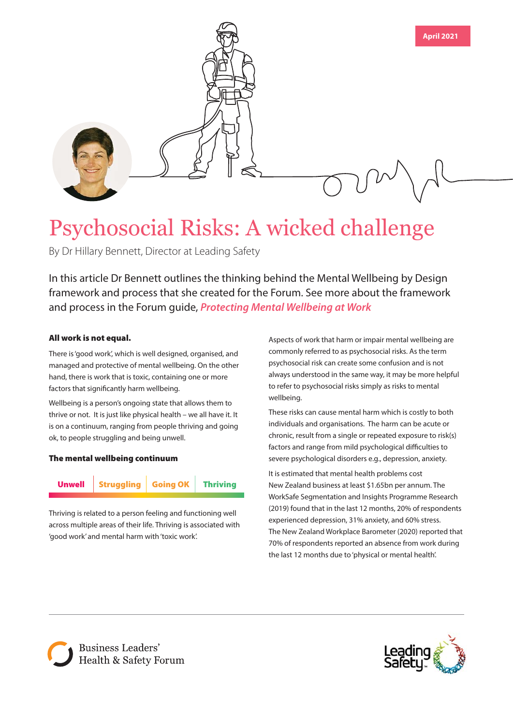

# Psychosocial Risks: A wicked challenge

By Dr Hillary Bennett, Director at Leading Safety

In this article Dr Bennett outlines the thinking behind the Mental Wellbeing by Design framework and process that she created for the Forum. See more about the framework and process in the Forum guide, *[Protecting Mental Wellbeing at Work](https://forum.org.nz/resources/protecting-mental-wellbeing/)*

## All work is not equal.

There is 'good work', which is well designed, organised, and managed and protective of mental wellbeing. On the other hand, there is work that is toxic, containing one or more factors that significantly harm wellbeing.

Wellbeing is a person's ongoing state that allows them to thrive or not. It is just like physical health – we all have it. It is on a continuum, ranging from people thriving and going ok, to people struggling and being unwell.

### The mental wellbeing continuum



Thriving is related to a person feeling and functioning well across multiple areas of their life. Thriving is associated with 'good work' and mental harm with 'toxic work'.

Aspects of work that harm or impair mental wellbeing are commonly referred to as psychosocial risks. As the term psychosocial risk can create some confusion and is not always understood in the same way, it may be more helpful to refer to psychosocial risks simply as risks to mental wellbeing.

These risks can cause mental harm which is costly to both individuals and organisations. The harm can be acute or chronic, result from a single or repeated exposure to risk(s) factors and range from mild psychological difficulties to severe psychological disorders e.g., depression, anxiety.

It is estimated that mental health problems cost New Zealand business at least \$1.65bn per annum. The WorkSafe Segmentation and Insights Programme Research (2019) found that in the last 12 months, 20% of respondents experienced depression, 31% anxiety, and 60% stress. The New Zealand Workplace Barometer (2020) reported that 70% of respondents reported an absence from work during the last 12 months due to 'physical or mental health'.



**Business Leaders'** Health & Safety Forum